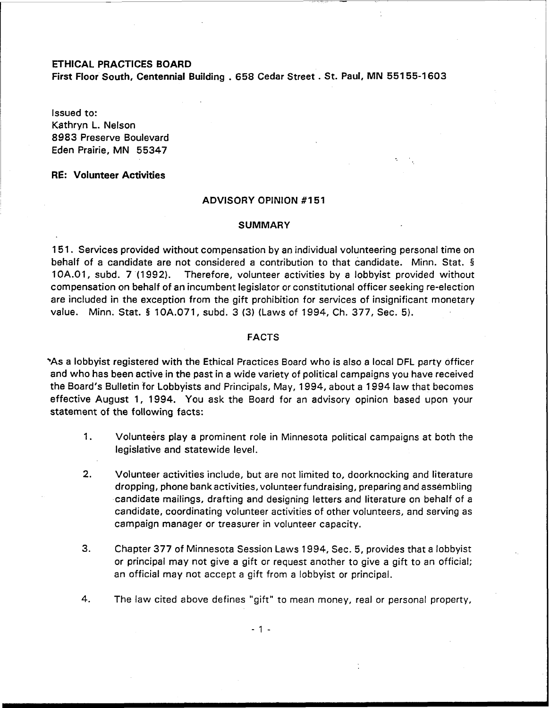### ETHICAL PRACTICES BOARD

First Floor South, Centennial Building . 658 Cedar Street . St. Paul, MN 55155-1603

Issued to: Kathryn L. Nelson 8983 Preserve Boulevard Eden Prairie, MN 55347

# RE: Volunteer Activities

# ADVISORY OPINION #151

### **SUMMARY**

15 1. Services provided without compensation by an individual volunteering personal time on behalf of a candidate are not considered a contribution to that candidate. Minn. Stat. § 1 OA.O1, subd. **7** (1 992). Therefore, volunteer activities by a lobbyist provided without compensation on behalf of an incumbent legislator or constitutional officer seeking re-election are included in the exception from the gift prohibition for services of insignificant monetary value. Minn. Stat. **5** 10A.071, subd. 3 **(3)** (Laws of 1994, Ch. 377, Sec. 5).

### FACTS

\*As a lobbyist registered with the Ethical Practices Board who is also a local DFL party officer and who has been active in the past in a wide variety of political campaigns you have received the Board's Bulletin for Lobbyists and Principals, May, 1994, about a 1994 law that becomes effective August 1, 1994. You ask the Board for an advisory opinion based upon your statement of the following facts:

- 1. Volunteers play a prominent role in Minnesota political campaigns at both the legislative and statewide level.
- **2.** Volunteer activities include, but are not limited to, doorknocking and literature dropping, phone bank activities, volunteer fundraising, preparing and assembling candidate mailings, drafting and designing letters and literature on behalf of a candidate, coordinating volunteer activities of other volunteers, and serving as campaign manager or treasurer in volunteer capacity.
- 3. Chapter 377 of Minnesota Session Laws 1994, Sec. 5, provides that a lobbyist or principal may not give a gift or request another to give a gift to an official; an official may not accept a gift from a lobbyist or principal.
- 4. The law cited above defines "gift" to mean money, real or personal property,

 $-1 -$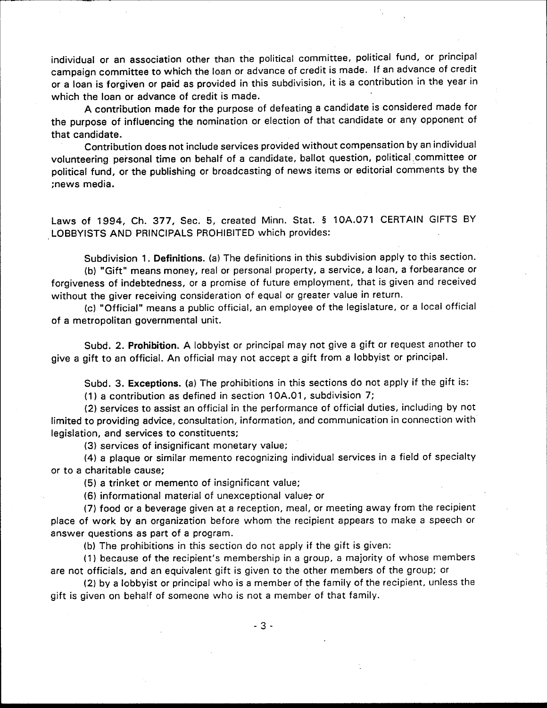individual or an association other than the political committee, political fund, or principal campaign committee to which the loan or advance of credit is made. If an advance of credit or a loan is forgiven or paid as provided in this subdivision, it is a contribution in the year in which the loan or advance of credit is made.

A contribution made for the purpose of defeating a candidate is considered made for the purpose of influencing the nomination or election of that candidate or any opponent of that candidate.

Contribution does not include services provided without compensation by an individual volunteering personal time on behalf of a candidate, ballot question, political committee or political fund, or the publishing or broadcasting of news items or editorial comments by the :news media.

Laws of 1994, Ch. 377, Sec. 5, created Minn. Stat. § 10A.071 CERTAIN GIFTS BY LOBBYISTS AND PRINCIPALS PROHIBITED which provides:

Subdivision 1. Definitions. (a) The definitions in this subdivision apply to this section. (b) "Gift" means money, real or personal property, a service, a loan, a forbearance or forgiveness of indebtedness, or a promise of future employment, that is given and received without the giver receiving consideration of equal or greater value in return.

(c) "Official" means a public official, an employee of the legislature, or a local official of a metropolitan governmental unit.

Subd. 2. Prohibition. A lobbyist or principal may not give a gift or request another to give a gift to an official. An official may not accept a gift from a lobbyist or principal.

Subd. 3. Exceptions. (a) The prohibitions in this sections do not apply if the gift is: (1) a contribution as defined in section 10A.01, subdivision 7;

(2) services to assist an official in the performance of official duties, including by not limited to providing advice, consultation, information, and communication in connection with legislation, and services to constituents;

(3) services of insignificant monetary value;

(4) a plaque or similar memento recognizing individual services in a field of specialty or to a charitable cause;

(5) a trinket or memento of insignificant value;

(6) informational material of unexceptional value, or

(7) food or a beverage given at a reception, meal, or meeting away from the recipient place of work by an organization before whom the recipient appears to make a speech or answer questions as part of a program.

(b) The prohibitions in this section do not apply if the gift is given:

(1) because of the recipient's membership in a group, a majority of whose members are not officials, and an equivalent gift is given to the other members of the group; or

(2) by a lobbyist or principal who is a member of the family of the recipient, unless the gift is given on behalf of someone who is not a member of that family.

 $-3-$